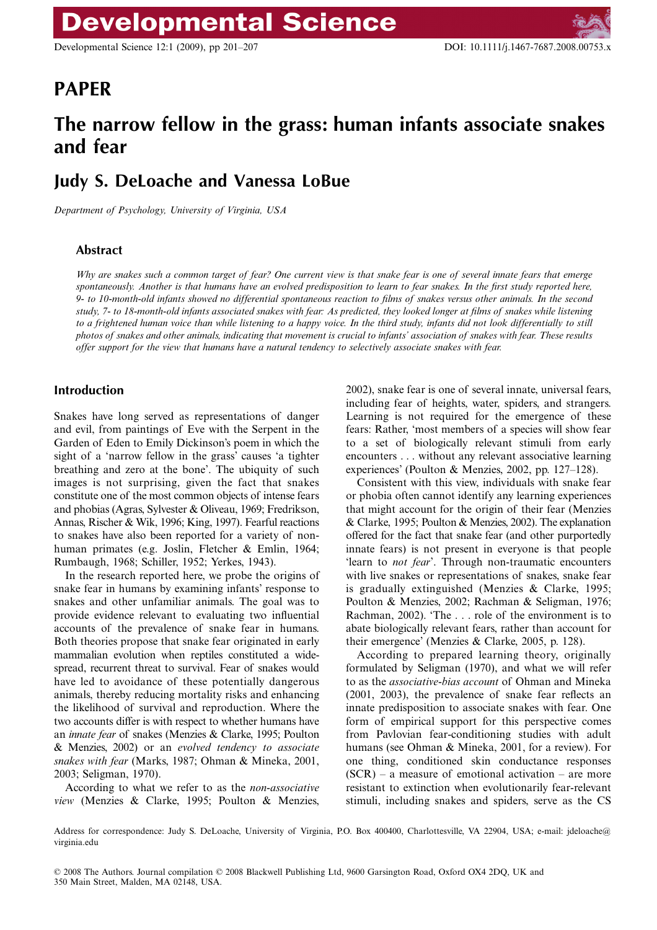Developmental Science 12:1 (2009), pp 201–207 DOI: 10.1111/j.1467-7687.2008.00753.x

# Blackwell Publishing Ltd **PAPER**

# **The narrow fellow in the grass: human infants associate snakes and fear**

## **Judy S. DeLoache and Vanessa LoBue**

*Department of Psychology, University of Virginia, USA*

## **Abstract**

*Why are snakes such a common target of fear? One current view is that snake fear is one of several innate fears that emerge spontaneously. Another is that humans have an evolved predisposition to learn to fear snakes. In the first study reported here, 9- to 10-month-old infants showed no differential spontaneous reaction to films of snakes versus other animals. In the second study, 7- to 18-month-old infants associated snakes with fear: As predicted, they looked longer at films of snakes while listening to a frightened human voice than while listening to a happy voice. In the third study, infants did not look differentially to still photos of snakes and other animals, indicating that movement is crucial to infants' association of snakes with fear. These results offer support for the view that humans have a natural tendency to selectively associate snakes with fear.*

## **Introduction**

Snakes have long served as representations of danger and evil, from paintings of Eve with the Serpent in the Garden of Eden to Emily Dickinson's poem in which the sight of a 'narrow fellow in the grass' causes 'a tighter breathing and zero at the bone'. The ubiquity of such images is not surprising, given the fact that snakes constitute one of the most common objects of intense fears and phobias (Agras, Sylvester & Oliveau, 1969; Fredrikson, Annas, Rischer & Wik, 1996; King, 1997). Fearful reactions to snakes have also been reported for a variety of nonhuman primates (e.g. Joslin, Fletcher & Emlin, 1964; Rumbaugh, 1968; Schiller, 1952; Yerkes, 1943).

In the research reported here, we probe the origins of snake fear in humans by examining infants' response to snakes and other unfamiliar animals. The goal was to provide evidence relevant to evaluating two influential accounts of the prevalence of snake fear in humans. Both theories propose that snake fear originated in early mammalian evolution when reptiles constituted a widespread, recurrent threat to survival. Fear of snakes would have led to avoidance of these potentially dangerous animals, thereby reducing mortality risks and enhancing the likelihood of survival and reproduction. Where the two accounts differ is with respect to whether humans have an *innate fear* of snakes (Menzies & Clarke, 1995; Poulton & Menzies, 2002) or an *evolved tendency to associate snakes with fear* (Marks, 1987; Ohman & Mineka, 2001, 2003; Seligman, 1970).

According to what we refer to as the *non-associative view* (Menzies & Clarke, 1995; Poulton & Menzies,

2002), snake fear is one of several innate, universal fears, including fear of heights, water, spiders, and strangers. Learning is not required for the emergence of these fears: Rather, 'most members of a species will show fear to a set of biologically relevant stimuli from early encounters . . . without any relevant associative learning experiences' (Poulton & Menzies, 2002, pp. 127–128).

Consistent with this view, individuals with snake fear or phobia often cannot identify any learning experiences that might account for the origin of their fear (Menzies & Clarke, 1995; Poulton & Menzies, 2002). The explanation offered for the fact that snake fear (and other purportedly innate fears) is not present in everyone is that people 'learn to *not fear*'. Through non-traumatic encounters with live snakes or representations of snakes, snake fear is gradually extinguished (Menzies & Clarke, 1995; Poulton & Menzies, 2002; Rachman & Seligman, 1976; Rachman, 2002). 'The . . . role of the environment is to abate biologically relevant fears, rather than account for their emergence' (Menzies & Clarke, 2005, p. 128).

According to prepared learning theory, originally formulated by Seligman (1970), and what we will refer to as the *associative-bias account* of Ohman and Mineka (2001, 2003), the prevalence of snake fear reflects an innate predisposition to associate snakes with fear. One form of empirical support for this perspective comes from Pavlovian fear-conditioning studies with adult humans (see Ohman & Mineka, 2001, for a review). For one thing, conditioned skin conductance responses  $(SCR)$  – a measure of emotional activation – are more resistant to extinction when evolutionarily fear-relevant stimuli, including snakes and spiders, serve as the CS

Address for correspondence: Judy S. DeLoache, University of Virginia, P.O. Box 400400, Charlottesville, VA 22904, USA; e-mail: jdeloache@ virginia.edu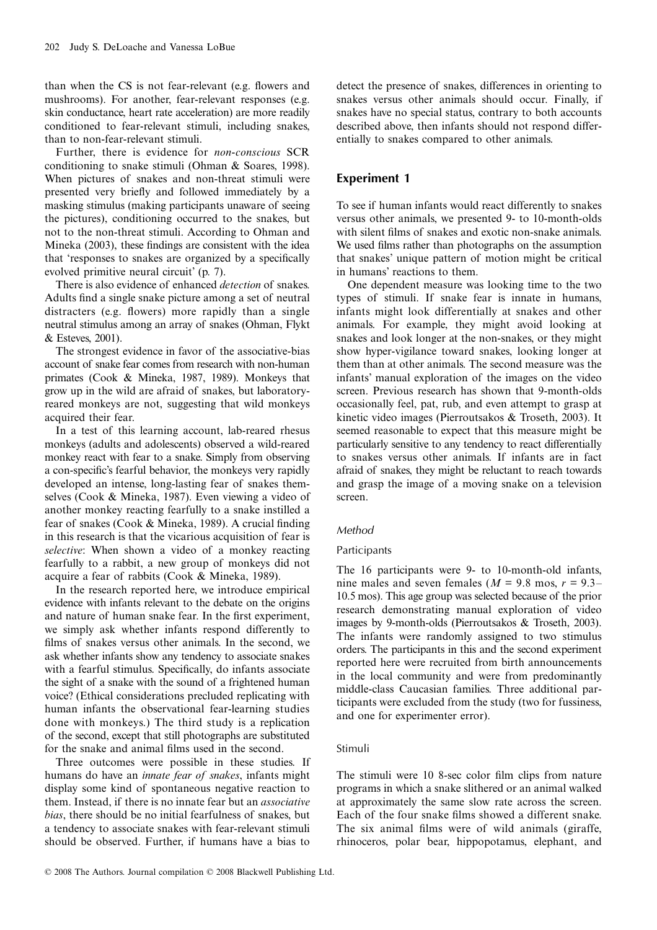than when the CS is not fear-relevant (e.g. flowers and mushrooms). For another, fear-relevant responses (e.g. skin conductance, heart rate acceleration) are more readily conditioned to fear-relevant stimuli, including snakes, than to non-fear-relevant stimuli.

Further, there is evidence for *non-conscious* SCR conditioning to snake stimuli (Ohman & Soares, 1998). When pictures of snakes and non-threat stimuli were presented very briefly and followed immediately by a masking stimulus (making participants unaware of seeing the pictures), conditioning occurred to the snakes, but not to the non-threat stimuli. According to Ohman and Mineka (2003), these findings are consistent with the idea that 'responses to snakes are organized by a specifically evolved primitive neural circuit' (p. 7).

There is also evidence of enhanced *detection* of snakes. Adults find a single snake picture among a set of neutral distracters (e.g. flowers) more rapidly than a single neutral stimulus among an array of snakes (Ohman, Flykt & Esteves, 2001).

The strongest evidence in favor of the associative-bias account of snake fear comes from research with non-human primates (Cook & Mineka, 1987, 1989). Monkeys that grow up in the wild are afraid of snakes, but laboratoryreared monkeys are not, suggesting that wild monkeys acquired their fear.

In a test of this learning account, lab-reared rhesus monkeys (adults and adolescents) observed a wild-reared monkey react with fear to a snake. Simply from observing a con-specific's fearful behavior, the monkeys very rapidly developed an intense, long-lasting fear of snakes themselves (Cook & Mineka, 1987). Even viewing a video of another monkey reacting fearfully to a snake instilled a fear of snakes (Cook & Mineka, 1989). A crucial finding in this research is that the vicarious acquisition of fear is *selective*: When shown a video of a monkey reacting fearfully to a rabbit, a new group of monkeys did not acquire a fear of rabbits (Cook & Mineka, 1989).

In the research reported here, we introduce empirical evidence with infants relevant to the debate on the origins and nature of human snake fear. In the first experiment, we simply ask whether infants respond differently to films of snakes versus other animals. In the second, we ask whether infants show any tendency to associate snakes with a fearful stimulus. Specifically, do infants associate the sight of a snake with the sound of a frightened human voice? (Ethical considerations precluded replicating with human infants the observational fear-learning studies done with monkeys.) The third study is a replication of the second, except that still photographs are substituted for the snake and animal films used in the second.

Three outcomes were possible in these studies. If humans do have an *innate fear of snakes*, infants might display some kind of spontaneous negative reaction to them. Instead, if there is no innate fear but an *associative bias*, there should be no initial fearfulness of snakes, but a tendency to associate snakes with fear-relevant stimuli should be observed. Further, if humans have a bias to detect the presence of snakes, differences in orienting to snakes versus other animals should occur. Finally, if snakes have no special status, contrary to both accounts described above, then infants should not respond differentially to snakes compared to other animals.

## **Experiment 1**

To see if human infants would react differently to snakes versus other animals, we presented 9- to 10-month-olds with silent films of snakes and exotic non-snake animals. We used films rather than photographs on the assumption that snakes' unique pattern of motion might be critical in humans' reactions to them.

One dependent measure was looking time to the two types of stimuli. If snake fear is innate in humans, infants might look differentially at snakes and other animals. For example, they might avoid looking at snakes and look longer at the non-snakes, or they might show hyper-vigilance toward snakes, looking longer at them than at other animals. The second measure was the infants' manual exploration of the images on the video screen. Previous research has shown that 9-month-olds occasionally feel, pat, rub, and even attempt to grasp at kinetic video images (Pierroutsakos & Troseth, 2003). It seemed reasonable to expect that this measure might be particularly sensitive to any tendency to react differentially to snakes versus other animals. If infants are in fact afraid of snakes, they might be reluctant to reach towards and grasp the image of a moving snake on a television screen.

## *Method*

## Participants

The 16 participants were 9- to 10-month-old infants, nine males and seven females ( $M = 9.8$  mos,  $r = 9.3$ – 10.5 mos). This age group was selected because of the prior research demonstrating manual exploration of video images by 9-month-olds (Pierroutsakos & Troseth, 2003). The infants were randomly assigned to two stimulus orders. The participants in this and the second experiment reported here were recruited from birth announcements in the local community and were from predominantly middle-class Caucasian families. Three additional participants were excluded from the study (two for fussiness, and one for experimenter error).

## Stimuli

The stimuli were 10 8-sec color film clips from nature programs in which a snake slithered or an animal walked at approximately the same slow rate across the screen. Each of the four snake films showed a different snake. The six animal films were of wild animals (giraffe, rhinoceros, polar bear, hippopotamus, elephant, and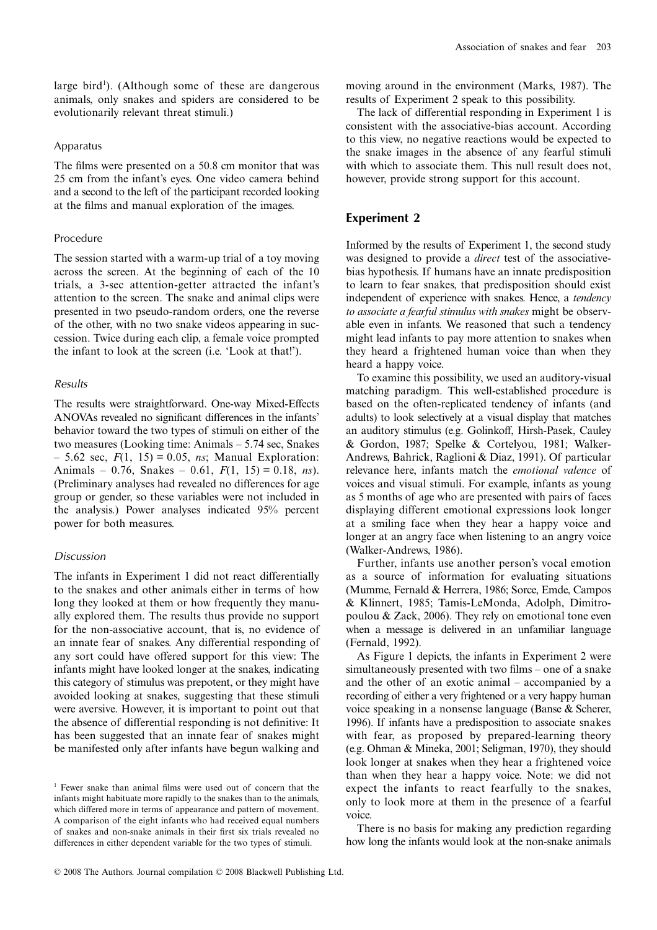large bird<sup>1</sup>). (Although some of these are dangerous animals, only snakes and spiders are considered to be evolutionarily relevant threat stimuli.)

#### Apparatus

The films were presented on a 50.8 cm monitor that was 25 cm from the infant's eyes. One video camera behind and a second to the left of the participant recorded looking at the films and manual exploration of the images.

#### Procedure

The session started with a warm-up trial of a toy moving across the screen. At the beginning of each of the 10 trials, a 3-sec attention-getter attracted the infant's attention to the screen. The snake and animal clips were presented in two pseudo-random orders, one the reverse of the other, with no two snake videos appearing in succession. Twice during each clip, a female voice prompted the infant to look at the screen (i.e. 'Look at that!').

#### *Results*

The results were straightforward. One-way Mixed-Effects ANOVAs revealed no significant differences in the infants' behavior toward the two types of stimuli on either of the two measures (Looking time: Animals – 5.74 sec, Snakes – 5.62 sec, *F*(1, 15) = 0.05, *ns*; Manual Exploration: Animals – 0.76, Snakes – 0.61, *F*(1, 15) = 0.18, *ns*). (Preliminary analyses had revealed no differences for age group or gender, so these variables were not included in the analysis.) Power analyses indicated 95% percent power for both measures.

#### *Discussion*

The infants in Experiment 1 did not react differentially to the snakes and other animals either in terms of how long they looked at them or how frequently they manually explored them. The results thus provide no support for the non-associative account, that is, no evidence of an innate fear of snakes. Any differential responding of any sort could have offered support for this view: The infants might have looked longer at the snakes, indicating this category of stimulus was prepotent, or they might have avoided looking at snakes, suggesting that these stimuli were aversive. However, it is important to point out that the absence of differential responding is not definitive: It has been suggested that an innate fear of snakes might be manifested only after infants have begun walking and moving around in the environment (Marks, 1987). The results of Experiment 2 speak to this possibility.

The lack of differential responding in Experiment 1 is consistent with the associative-bias account. According to this view, no negative reactions would be expected to the snake images in the absence of any fearful stimuli with which to associate them. This null result does not, however, provide strong support for this account.

#### **Experiment 2**

Informed by the results of Experiment 1, the second study was designed to provide a *direct* test of the associativebias hypothesis. If humans have an innate predisposition to learn to fear snakes, that predisposition should exist independent of experience with snakes. Hence, a *tendency to associate a fearful stimulus with snakes* might be observable even in infants. We reasoned that such a tendency might lead infants to pay more attention to snakes when they heard a frightened human voice than when they heard a happy voice.

To examine this possibility, we used an auditory-visual matching paradigm. This well-established procedure is based on the often-replicated tendency of infants (and adults) to look selectively at a visual display that matches an auditory stimulus (e.g. Golinkoff, Hirsh-Pasek, Cauley & Gordon, 1987; Spelke & Cortelyou, 1981; Walker-Andrews, Bahrick, Raglioni & Diaz, 1991). Of particular relevance here, infants match the *emotional valence* of voices and visual stimuli. For example, infants as young as 5 months of age who are presented with pairs of faces displaying different emotional expressions look longer at a smiling face when they hear a happy voice and longer at an angry face when listening to an angry voice (Walker-Andrews, 1986).

Further, infants use another person's vocal emotion as a source of information for evaluating situations (Mumme, Fernald & Herrera, 1986; Sorce, Emde, Campos & Klinnert, 1985; Tamis-LeMonda, Adolph, Dimitropoulou & Zack, 2006). They rely on emotional tone even when a message is delivered in an unfamiliar language (Fernald, 1992).

As Figure 1 depicts, the infants in Experiment 2 were simultaneously presented with two films – one of a snake and the other of an exotic animal – accompanied by a recording of either a very frightened or a very happy human voice speaking in a nonsense language (Banse & Scherer, 1996). If infants have a predisposition to associate snakes with fear, as proposed by prepared-learning theory (e.g. Ohman & Mineka, 2001; Seligman, 1970), they should look longer at snakes when they hear a frightened voice than when they hear a happy voice. Note: we did not expect the infants to react fearfully to the snakes, only to look more at them in the presence of a fearful voice.

There is no basis for making any prediction regarding how long the infants would look at the non-snake animals

<sup>1</sup> Fewer snake than animal films were used out of concern that the infants might habituate more rapidly to the snakes than to the animals, which differed more in terms of appearance and pattern of movement. A comparison of the eight infants who had received equal numbers of snakes and non-snake animals in their first six trials revealed no differences in either dependent variable for the two types of stimuli.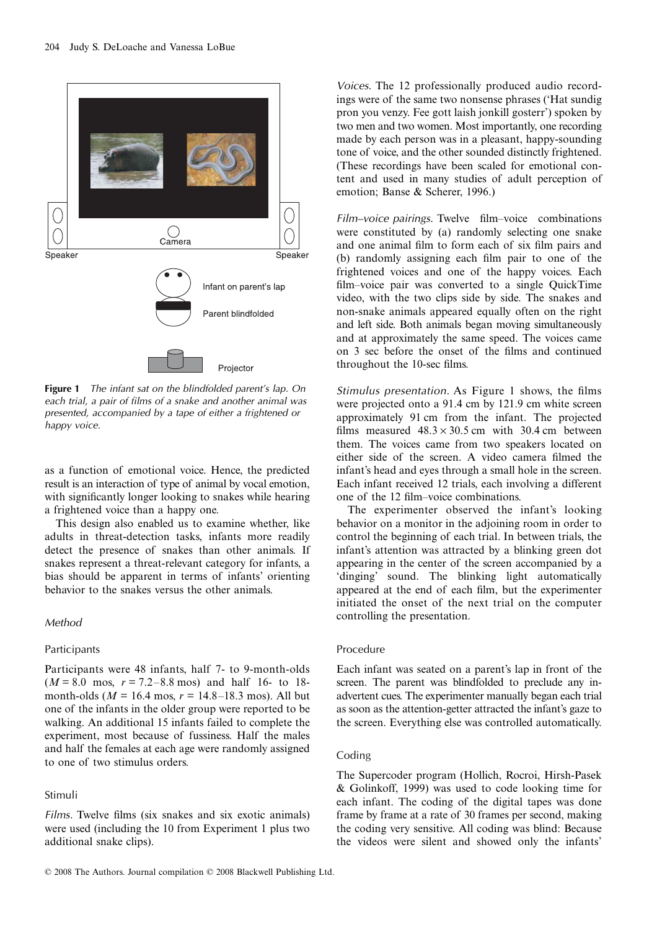

**Figure 1** *The infant sat on the blindfolded parent's lap. On each trial, a pair of films of a snake and another animal was presented, accompanied by a tape of either a frightened or happy voice.*

as a function of emotional voice. Hence, the predicted result is an interaction of type of animal by vocal emotion, with significantly longer looking to snakes while hearing a frightened voice than a happy one.

This design also enabled us to examine whether, like adults in threat-detection tasks, infants more readily detect the presence of snakes than other animals. If snakes represent a threat-relevant category for infants, a bias should be apparent in terms of infants' orienting behavior to the snakes versus the other animals.

## *Method*

#### Participants

Participants were 48 infants, half 7- to 9-month-olds  $(M = 8.0 \text{ mos}, r = 7.2 - 8.8 \text{ mos})$  and half 16- to 18month-olds ( $M = 16.4$  mos,  $r = 14.8 - 18.3$  mos). All but one of the infants in the older group were reported to be walking. An additional 15 infants failed to complete the experiment, most because of fussiness. Half the males and half the females at each age were randomly assigned to one of two stimulus orders.

#### Stimuli

*Films*. Twelve films (six snakes and six exotic animals) were used (including the 10 from Experiment 1 plus two additional snake clips).

*Voices.* The 12 professionally produced audio recordings were of the same two nonsense phrases ('Hat sundig pron you venzy. Fee gott laish jonkill gosterr') spoken by two men and two women. Most importantly, one recording made by each person was in a pleasant, happy-sounding tone of voice, and the other sounded distinctly frightened. (These recordings have been scaled for emotional content and used in many studies of adult perception of emotion; Banse & Scherer, 1996.)

*Film–voice pairings.* Twelve film–voice combinations were constituted by (a) randomly selecting one snake and one animal film to form each of six film pairs and (b) randomly assigning each film pair to one of the frightened voices and one of the happy voices. Each film–voice pair was converted to a single QuickTime video, with the two clips side by side. The snakes and non-snake animals appeared equally often on the right and left side. Both animals began moving simultaneously and at approximately the same speed. The voices came on 3 sec before the onset of the films and continued throughout the 10-sec films.

*Stimulus presentation.* As Figure 1 shows, the films were projected onto a 91.4 cm by 121.9 cm white screen approximately 91 cm from the infant. The projected films measured  $48.3 \times 30.5$  cm with 30.4 cm between them. The voices came from two speakers located on either side of the screen. A video camera filmed the infant's head and eyes through a small hole in the screen. Each infant received 12 trials, each involving a different one of the 12 film–voice combinations.

The experimenter observed the infant's looking behavior on a monitor in the adjoining room in order to control the beginning of each trial. In between trials, the infant's attention was attracted by a blinking green dot appearing in the center of the screen accompanied by a 'dinging' sound. The blinking light automatically appeared at the end of each film, but the experimenter initiated the onset of the next trial on the computer controlling the presentation.

#### Procedure

Each infant was seated on a parent's lap in front of the screen. The parent was blindfolded to preclude any inadvertent cues. The experimenter manually began each trial as soon as the attention-getter attracted the infant's gaze to the screen. Everything else was controlled automatically.

#### Coding

The Supercoder program (Hollich, Rocroi, Hirsh-Pasek & Golinkoff, 1999) was used to code looking time for each infant. The coding of the digital tapes was done frame by frame at a rate of 30 frames per second, making the coding very sensitive. All coding was blind: Because the videos were silent and showed only the infants'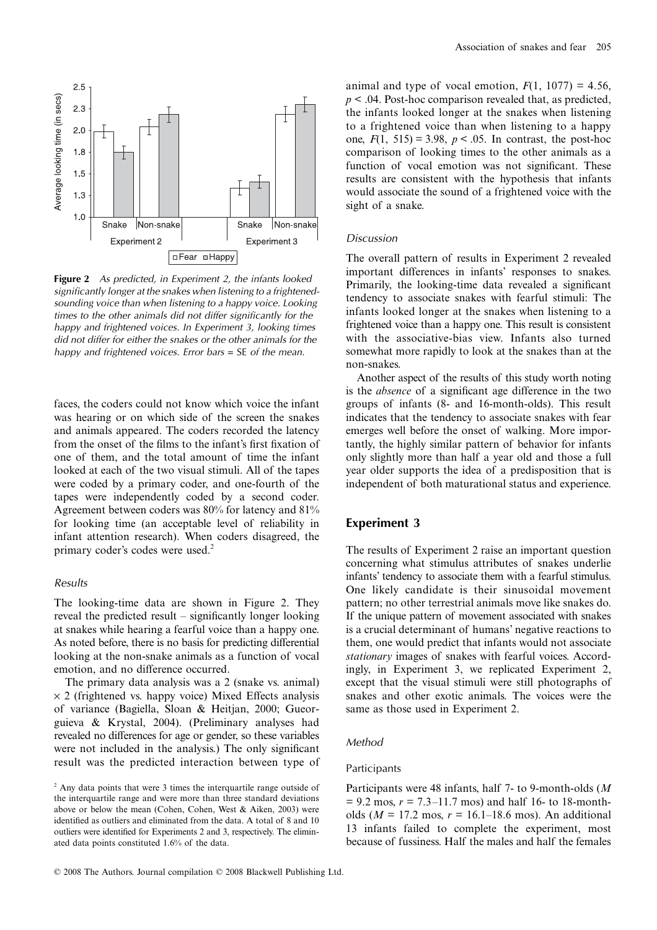

**Figure 2** *As predicted, in Experiment 2, the infants looked significantly longer at the snakes when listening to a frightenedsounding voice than when listening to a happy voice. Looking times to the other animals did not differ significantly for the happy and frightened voices. In Experiment 3, looking times did not differ for either the snakes or the other animals for the happy and frightened voices. Error bars* = SE *of the mean.* 

faces, the coders could not know which voice the infant was hearing or on which side of the screen the snakes and animals appeared. The coders recorded the latency from the onset of the films to the infant's first fixation of one of them, and the total amount of time the infant looked at each of the two visual stimuli. All of the tapes were coded by a primary coder, and one-fourth of the tapes were independently coded by a second coder. Agreement between coders was 80% for latency and 81% for looking time (an acceptable level of reliability in infant attention research). When coders disagreed, the primary coder's codes were used.<sup>2</sup>

#### *Results*

The looking-time data are shown in Figure 2. They reveal the predicted result – significantly longer looking at snakes while hearing a fearful voice than a happy one. As noted before, there is no basis for predicting differential looking at the non-snake animals as a function of vocal emotion, and no difference occurred.

The primary data analysis was a 2 (snake vs. animal)  $\times$  2 (frightened vs. happy voice) Mixed Effects analysis of variance (Bagiella, Sloan & Heitjan, 2000; Gueorguieva & Krystal, 2004). (Preliminary analyses had revealed no differences for age or gender, so these variables were not included in the analysis.) The only significant result was the predicted interaction between type of

animal and type of vocal emotion,  $F(1, 1077) = 4.56$ , *p* < .04. Post-hoc comparison revealed that, as predicted, the infants looked longer at the snakes when listening to a frightened voice than when listening to a happy one,  $F(1, 515) = 3.98$ ,  $p < .05$ . In contrast, the post-hoc comparison of looking times to the other animals as a function of vocal emotion was not significant. These results are consistent with the hypothesis that infants would associate the sound of a frightened voice with the sight of a snake.

#### *Discussion*

The overall pattern of results in Experiment 2 revealed important differences in infants' responses to snakes. Primarily, the looking-time data revealed a significant tendency to associate snakes with fearful stimuli: The infants looked longer at the snakes when listening to a frightened voice than a happy one. This result is consistent with the associative-bias view. Infants also turned somewhat more rapidly to look at the snakes than at the non-snakes.

Another aspect of the results of this study worth noting is the *absence* of a significant age difference in the two groups of infants (8- and 16-month-olds). This result indicates that the tendency to associate snakes with fear emerges well before the onset of walking. More importantly, the highly similar pattern of behavior for infants only slightly more than half a year old and those a full year older supports the idea of a predisposition that is independent of both maturational status and experience.

## **Experiment 3**

The results of Experiment 2 raise an important question concerning what stimulus attributes of snakes underlie infants' tendency to associate them with a fearful stimulus. One likely candidate is their sinusoidal movement pattern; no other terrestrial animals move like snakes do. If the unique pattern of movement associated with snakes is a crucial determinant of humans' negative reactions to them, one would predict that infants would not associate *stationary* images of snakes with fearful voices. Accordingly, in Experiment 3, we replicated Experiment 2, except that the visual stimuli were still photographs of snakes and other exotic animals. The voices were the same as those used in Experiment 2.

#### *Method*

### Participants

Participants were 48 infants, half 7- to 9-month-olds (*M*  $= 9.2$  mos,  $r = 7.3 - 11.7$  mos) and half 16- to 18-montholds ( $M = 17.2$  mos,  $r = 16.1 - 18.6$  mos). An additional 13 infants failed to complete the experiment, most because of fussiness. Half the males and half the females

<sup>&</sup>lt;sup>2</sup> Any data points that were 3 times the interquartile range outside of the interquartile range and were more than three standard deviations above or below the mean (Cohen, Cohen, West & Aiken, 2003) were identified as outliers and eliminated from the data. A total of 8 and 10 outliers were identified for Experiments 2 and 3, respectively. The eliminated data points constituted 1.6% of the data.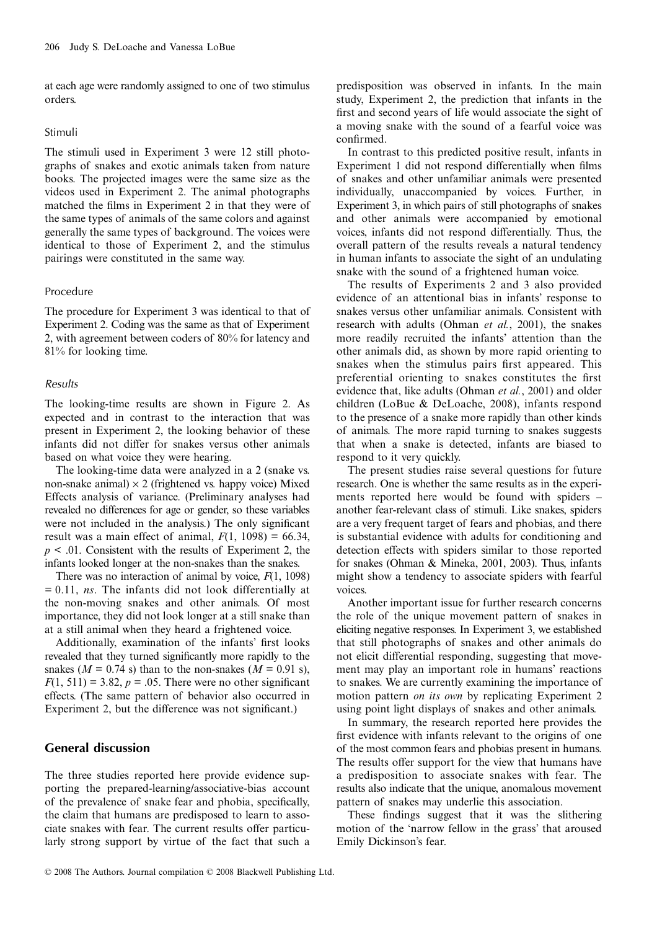at each age were randomly assigned to one of two stimulus orders.

#### Stimuli

The stimuli used in Experiment 3 were 12 still photographs of snakes and exotic animals taken from nature books. The projected images were the same size as the videos used in Experiment 2. The animal photographs matched the films in Experiment 2 in that they were of the same types of animals of the same colors and against generally the same types of background. The voices were identical to those of Experiment 2, and the stimulus pairings were constituted in the same way.

#### Procedure

The procedure for Experiment 3 was identical to that of Experiment 2. Coding was the same as that of Experiment 2, with agreement between coders of 80% for latency and 81% for looking time.

#### *Results*

The looking-time results are shown in Figure 2. As expected and in contrast to the interaction that was present in Experiment 2, the looking behavior of these infants did not differ for snakes versus other animals based on what voice they were hearing.

The looking-time data were analyzed in a 2 (snake vs. non-snake animal)  $\times$  2 (frightened vs. happy voice) Mixed Effects analysis of variance. (Preliminary analyses had revealed no differences for age or gender, so these variables were not included in the analysis.) The only significant result was a main effect of animal,  $F(1, 1098) = 66.34$ ,  $p \leq 0.01$ . Consistent with the results of Experiment 2, the infants looked longer at the non-snakes than the snakes.

There was no interaction of animal by voice, *F*(1, 1098) = 0.11, *ns*. The infants did not look differentially at the non-moving snakes and other animals. Of most importance, they did not look longer at a still snake than at a still animal when they heard a frightened voice.

Additionally, examination of the infants' first looks revealed that they turned significantly more rapidly to the snakes ( $M = 0.74$  s) than to the non-snakes ( $M = 0.91$  s),  $F(1, 511) = 3.82$ ,  $p = .05$ . There were no other significant effects. (The same pattern of behavior also occurred in Experiment 2, but the difference was not significant.)

## **General discussion**

The three studies reported here provide evidence supporting the prepared-learning/associative-bias account of the prevalence of snake fear and phobia, specifically, the claim that humans are predisposed to learn to associate snakes with fear. The current results offer particularly strong support by virtue of the fact that such a

predisposition was observed in infants. In the main study, Experiment 2, the prediction that infants in the first and second years of life would associate the sight of a moving snake with the sound of a fearful voice was confirmed.

In contrast to this predicted positive result, infants in Experiment 1 did not respond differentially when films of snakes and other unfamiliar animals were presented individually, unaccompanied by voices. Further, in Experiment 3, in which pairs of still photographs of snakes and other animals were accompanied by emotional voices, infants did not respond differentially. Thus, the overall pattern of the results reveals a natural tendency in human infants to associate the sight of an undulating snake with the sound of a frightened human voice.

The results of Experiments 2 and 3 also provided evidence of an attentional bias in infants' response to snakes versus other unfamiliar animals. Consistent with research with adults (Ohman *et al.*, 2001), the snakes more readily recruited the infants' attention than the other animals did, as shown by more rapid orienting to snakes when the stimulus pairs first appeared. This preferential orienting to snakes constitutes the first evidence that, like adults (Ohman *et al.*, 2001) and older children (LoBue & DeLoache, 2008), infants respond to the presence of a snake more rapidly than other kinds of animals. The more rapid turning to snakes suggests that when a snake is detected, infants are biased to respond to it very quickly.

The present studies raise several questions for future research. One is whether the same results as in the experiments reported here would be found with spiders – another fear-relevant class of stimuli. Like snakes, spiders are a very frequent target of fears and phobias, and there is substantial evidence with adults for conditioning and detection effects with spiders similar to those reported for snakes (Ohman & Mineka, 2001, 2003). Thus, infants might show a tendency to associate spiders with fearful voices.

Another important issue for further research concerns the role of the unique movement pattern of snakes in eliciting negative responses. In Experiment 3, we established that still photographs of snakes and other animals do not elicit differential responding, suggesting that movement may play an important role in humans' reactions to snakes. We are currently examining the importance of motion pattern *on its own* by replicating Experiment 2 using point light displays of snakes and other animals.

In summary, the research reported here provides the first evidence with infants relevant to the origins of one of the most common fears and phobias present in humans. The results offer support for the view that humans have a predisposition to associate snakes with fear. The results also indicate that the unique, anomalous movement pattern of snakes may underlie this association.

These findings suggest that it was the slithering motion of the 'narrow fellow in the grass' that aroused Emily Dickinson's fear.